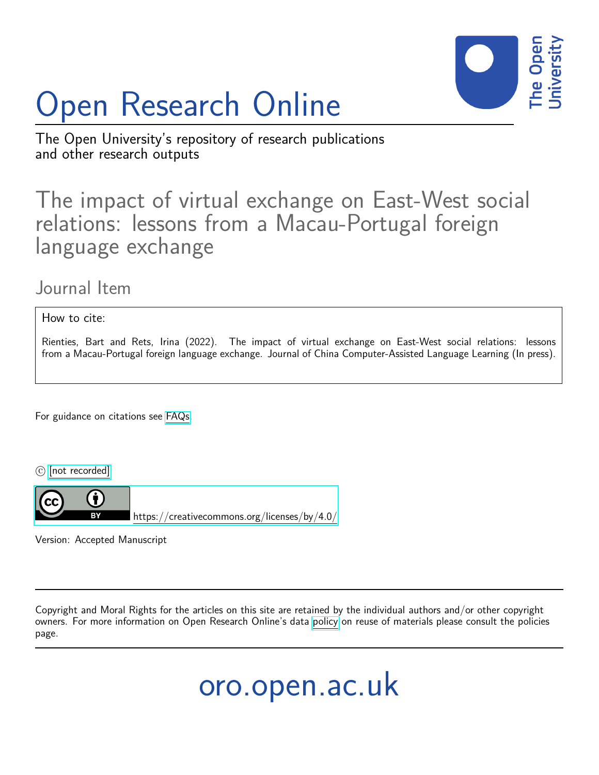

# Open Research Online

The Open University's repository of research publications and other research outputs

# The impact of virtual exchange on East-West social relations: lessons from a Macau-Portugal foreign language exchange

## Journal Item

How to cite:

Rienties, Bart and Rets, Irina (2022). The impact of virtual exchange on East-West social relations: lessons from a Macau-Portugal foreign language exchange. Journal of China Computer-Assisted Language Learning (In press).

For guidance on citations see [FAQs.](http://oro.open.ac.uk/help/helpfaq.html)

 $\circled{c}$  [\[not recorded\]](http://oro.open.ac.uk/help/helpfaq.html#Unrecorded_information_on_coversheet)



<https://creativecommons.org/licenses/by/4.0/>

Version: Accepted Manuscript

Copyright and Moral Rights for the articles on this site are retained by the individual authors and/or other copyright owners. For more information on Open Research Online's data [policy](http://oro.open.ac.uk/policies.html) on reuse of materials please consult the policies page.

oro.open.ac.uk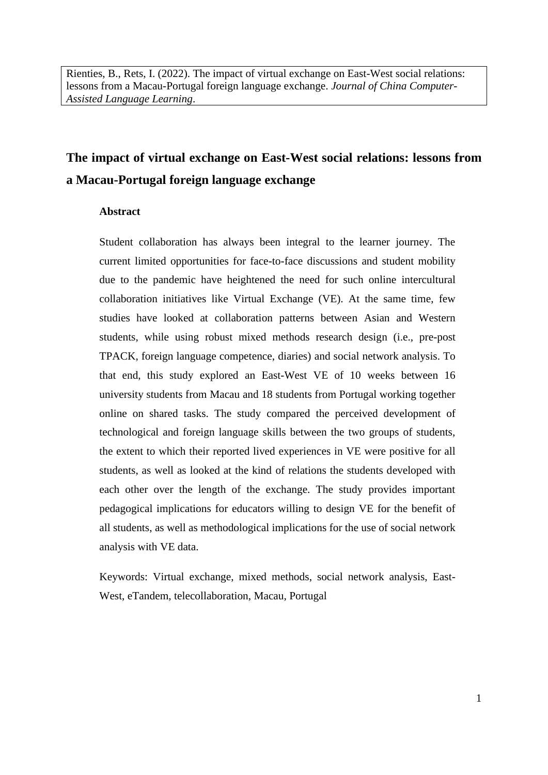Rienties, B., Rets, I. (2022). The impact of virtual exchange on East-West social relations: lessons from a Macau-Portugal foreign language exchange. *Journal of China Computer-Assisted Language Learning*.

## **The impact of virtual exchange on East-West social relations: lessons from a Macau-Portugal foreign language exchange**

#### **Abstract**

Student collaboration has always been integral to the learner journey. The current limited opportunities for face-to-face discussions and student mobility due to the pandemic have heightened the need for such online intercultural collaboration initiatives like Virtual Exchange (VE). At the same time, few studies have looked at collaboration patterns between Asian and Western students, while using robust mixed methods research design (i.e., pre-post TPACK, foreign language competence, diaries) and social network analysis. To that end, this study explored an East-West VE of 10 weeks between 16 university students from Macau and 18 students from Portugal working together online on shared tasks. The study compared the perceived development of technological and foreign language skills between the two groups of students, the extent to which their reported lived experiences in VE were positive for all students, as well as looked at the kind of relations the students developed with each other over the length of the exchange. The study provides important pedagogical implications for educators willing to design VE for the benefit of all students, as well as methodological implications for the use of social network analysis with VE data.

Keywords: Virtual exchange, mixed methods, social network analysis, East-West, eTandem, telecollaboration, Macau, Portugal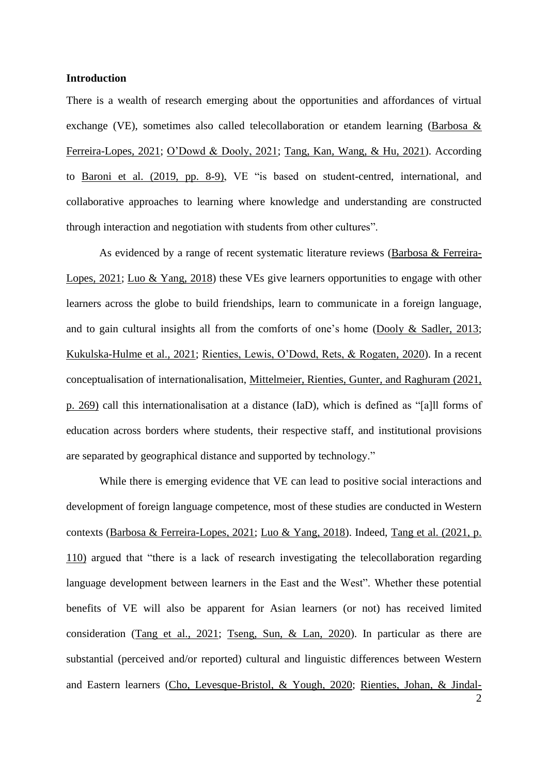#### **Introduction**

There is a wealth of research emerging about the opportunities and affordances of virtual exchange (VE), sometimes also called telecollaboration or etandem learning [\(Barbosa &](#page-23-0)  [Ferreira-Lopes, 2021;](#page-23-0) [O'Dowd & Dooly, 2021;](#page-24-0) [Tang, Kan, Wang, & Hu, 2021\)](#page-25-0). According to Baroni [et al. \(2019, pp. 8-9\),](#page-23-1) VE "is based on student-centred, international, and collaborative approaches to learning where knowledge and understanding are constructed through interaction and negotiation with students from other cultures".

As evidenced by a range of recent systematic literature reviews [\(Barbosa & Ferreira-](#page-23-0)[Lopes, 2021;](#page-23-0) [Luo & Yang, 2018\)](#page-24-1) these VEs give learners opportunities to engage with other learners across the globe to build friendships, learn to communicate in a foreign language, and to gain cultural insights all from the comforts of one's home [\(Dooly & Sadler, 2013;](#page-23-2) [Kukulska-Hulme et al., 2021;](#page-24-2) [Rienties, Lewis, O'Dowd, Rets, & Rogaten,](#page-24-3) 2020). In a recent conceptualisation of internationalisation, Mittelmeier, Rienties, [Gunter, and Raghuram \(2021,](#page-24-4)  p. 269) call this internationalisation at a distance (IaD), which is defined as "[a]ll forms of education across borders where students, their respective staff, and institutional provisions are separated by geographical distance and supported by technology."

While there is emerging evidence that VE can lead to positive social interactions and development of foreign language competence, most of these studies are conducted in Western contexts [\(Barbosa & Ferreira-Lopes, 2021;](#page-23-0) [Luo & Yang, 2018\)](#page-24-1). Indeed, [Tang et al. \(2021, p.](#page-25-0)  110) argued that "there is a lack of research investigating the telecollaboration regarding language development between learners in the East and the West". Whether these potential benefits of VE will also be apparent for Asian learners (or not) has received limited consideration [\(Tang et al., 2021;](#page-25-0) [Tseng, Sun, & Lan, 2020\)](#page-25-1). In particular as there are substantial (perceived and/or reported) cultural and linguistic differences between Western and Eastern learners [\(Cho, Levesque-Bristol, & Yough, 2020;](#page-23-3) [Rienties, Johan, & Jindal-](#page-24-5)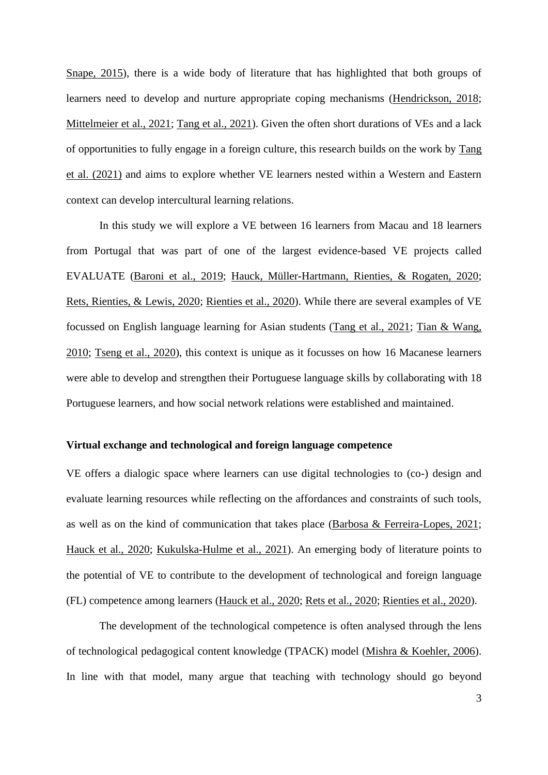[Snape, 2015\)](#page-24-5), there is a wide body of literature that has highlighted that both groups of learners need to develop and nurture appropriate coping mechanisms [\(Hendrickson, 2018;](#page-24-6) [Mittelmeier et al., 2021;](#page-24-4) Tang et [al., 2021\)](#page-25-0). Given the often short durations of VEs and a lack of opportunities to fully engage in a foreign culture, this research builds on the work by [Tang](#page-25-0)  et al. (2021) and aims to explore whether VE learners nested within a Western and Eastern context can develop intercultural learning relations.

In this study we will explore a VE between 16 learners from Macau and 18 learners from Portugal that was part of one of the largest evidence-based VE projects called EVALUATE [\(Baroni et al.,](#page-23-1) 2019; [Hauck, Müller-Hartmann, Rienties, & Rogaten, 2020;](#page-24-7) [Rets, Rienties, & Lewis, 2020;](#page-24-8) [Rienties et al., 2020\)](#page-24-3). While there are several examples of VE focussed on English language learning for Asian students [\(Tang et al., 2021;](#page-25-0) [Tian & Wang,](#page-25-2)  [2010;](#page-25-2) [Tseng et al., 2020\)](#page-25-1), this context is unique as it focusses on how 16 Macanese learners were able to develop and strengthen their Portuguese language skills by collaborating with 18 Portuguese learners, and how social network relations were established and maintained.

#### **Virtual exchange and technological and foreign language competence**

VE offers a dialogic space where learners can use digital technologies to (co-) design and evaluate learning resources while reflecting on the affordances and constraints of such tools, as well as on the kind of communication that takes place [\(Barbosa & Ferreira-Lopes, 2021;](#page-23-0) [Hauck et al., 2020;](#page-24-7) [Kukulska-Hulme et al.,](#page-24-2) 2021). An emerging body of literature points to the potential of VE to contribute to the development of technological and foreign language (FL) competence among learners [\(Hauck et](#page-24-7) al., 2020; [Rets et al., 2020;](#page-24-8) [Rienties et al., 2020\)](#page-24-3).

The development of the technological competence is often analysed through the lens of technological pedagogical content knowledge (TPACK) model [\(Mishra & Koehler, 2006\)](#page-24-9). In line with that model, many argue that teaching with technology should go beyond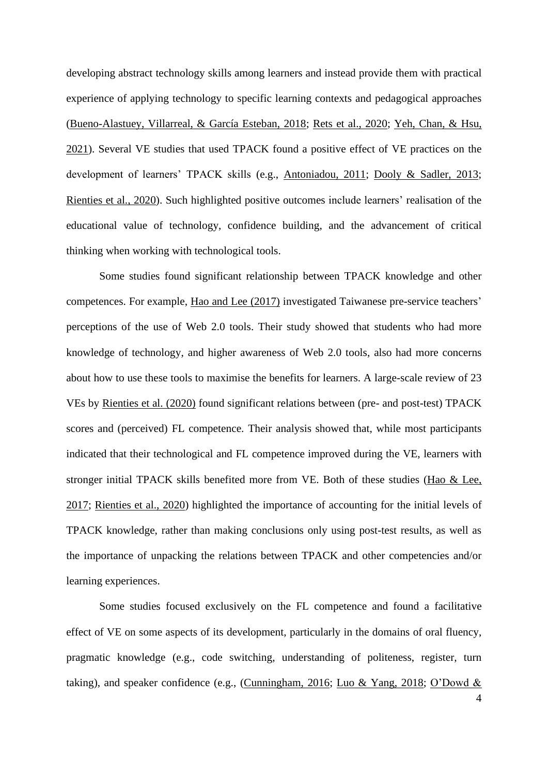developing abstract technology skills among learners and instead provide them with practical experience of applying technology to specific learning contexts and pedagogical approaches [\(Bueno-Alastuey, Villarreal, & García Esteban, 2018;](#page-23-4) [Rets et al., 2020;](#page-24-8) [Yeh, Chan, & Hsu,](#page-25-3)  [2021\)](#page-25-3). Several VE studies that used TPACK found a positive effect of VE practices on the development of learners' TPACK skills (e.g., [Antoniadou, 2011;](#page-23-5) [Dooly & Sadler, 2013;](#page-23-2) [Rienties et al., 2020\)](#page-24-3). Such highlighted positive outcomes include learners' realisation of the educational value of technology, confidence building, and the advancement of critical thinking when working with technological tools.

Some studies found significant relationship between TPACK knowledge and other competences. For example, [Hao and Lee \(2017\)](#page-23-6) investigated Taiwanese pre-service teachers' perceptions of the use of Web 2.0 tools. Their study showed that students who had more knowledge of technology, and higher awareness of Web 2.0 tools, also had more concerns about how to use these tools to maximise the benefits for learners. A large-scale review of 23 VEs by [Rienties et al. \(2020\)](#page-24-3) found significant relations between (pre- and post-test) TPACK scores and (perceived) FL competence. Their analysis showed that, while most participants indicated that their technological and FL competence improved during the VE, learners with stronger initial TPACK skills benefited more from VE. Both of these studies [\(Hao &](#page-23-6) Lee, [2017;](#page-23-6) [Rienties et al., 2020\)](#page-24-3) highlighted the importance of accounting for the initial levels of TPACK knowledge, rather than making conclusions only using post-test results, as well as the importance of unpacking the relations between TPACK and other competencies and/or learning experiences.

Some studies focused exclusively on the FL competence and found a facilitative effect of VE on some aspects of its development, particularly in the domains of oral fluency, pragmatic knowledge (e.g., code switching, understanding of politeness, register, turn taking), and speaker confidence (e.g., [\(Cunningham, 2016;](#page-23-7) [Luo & Yang, 2018;](#page-24-1) [O'Dowd &](#page-24-0)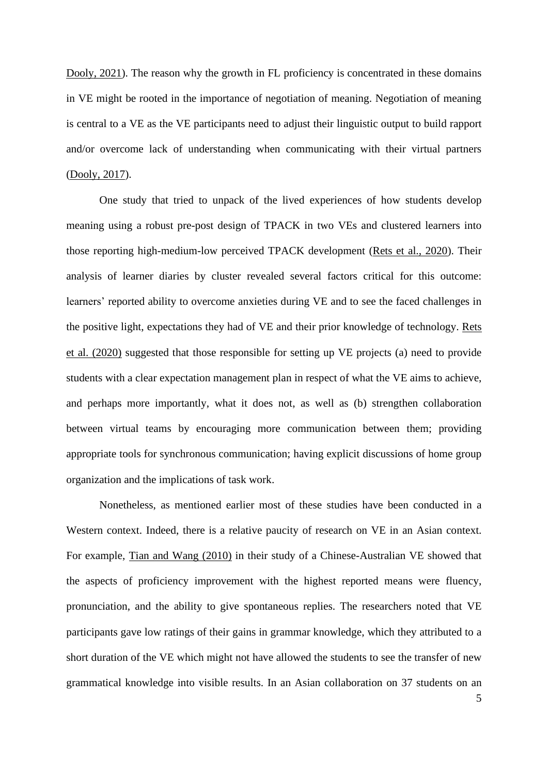[Dooly, 2021\)](#page-24-0). The reason why the growth in FL proficiency is concentrated in these domains in VE might be rooted in the importance of negotiation of meaning. Negotiation of meaning is central to a VE as the VE participants need to adjust their linguistic output to build rapport and/or overcome lack of understanding when communicating with their virtual partners [\(Dooly, 2017\)](#page-23-8).

One study that tried to unpack of the lived experiences of how students develop meaning using a robust pre-post design of TPACK in two VEs and clustered learners into those reporting high-medium-low perceived TPACK development [\(Rets et al., 2020\)](#page-24-8). Their analysis of learner diaries by cluster revealed several factors critical for this outcome: learners' reported ability to overcome anxieties during VE and to see the faced challenges in the positive light, expectations they had of VE and their prior knowledge of technology. [Rets](#page-24-8)  et al. (2020) suggested that those responsible for setting up VE projects (a) need to provide students with a clear expectation management plan in respect of what the VE aims to achieve, and perhaps more importantly, what it does not, as well as (b) strengthen collaboration between virtual teams by encouraging more communication between them; providing appropriate tools for synchronous communication; having explicit discussions of home group organization and the implications of task work.

Nonetheless, as mentioned earlier most of these studies have been conducted in a Western context. Indeed, there is a relative paucity of research on VE in an Asian context. For example, [Tian and Wang \(2010\)](#page-25-2) in their study of a Chinese-Australian VE showed that the aspects of proficiency improvement with the highest reported means were fluency, pronunciation, and the ability to give spontaneous replies. The researchers noted that VE participants gave low ratings of their gains in grammar knowledge, which they attributed to a short duration of the VE which might not have allowed the students to see the transfer of new grammatical knowledge into visible results. In an Asian collaboration on 37 students on an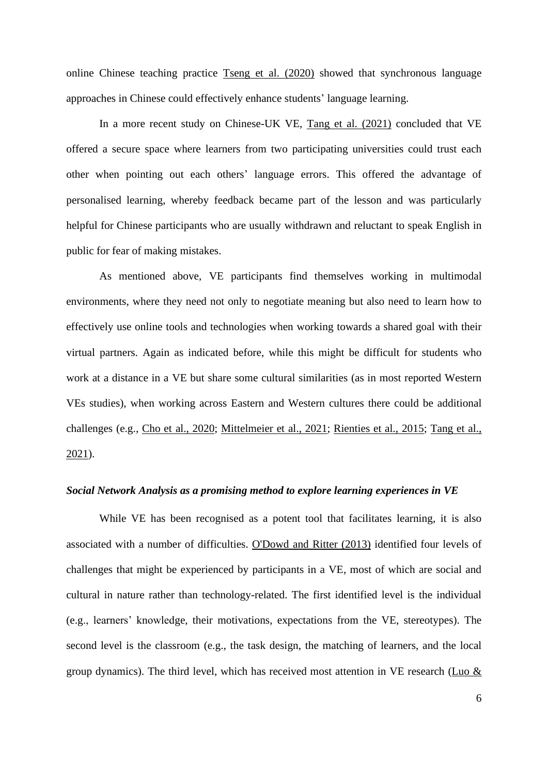online Chinese teaching practice [Tseng et al. \(2020\)](#page-25-1) showed that synchronous language approaches in Chinese could effectively enhance students' language learning.

In a more recent study on Chinese-UK VE, [Tang et al. \(2021\)](#page-25-0) concluded that VE offered a secure space where learners from two participating universities could trust each other when pointing out each others' language errors. This offered the advantage of personalised learning, whereby feedback became part of the lesson and was particularly helpful for Chinese participants who are usually withdrawn and reluctant to speak English in public for fear of making mistakes.

As mentioned above, VE participants find themselves working in multimodal environments, where they need not only to negotiate meaning but also need to learn how to effectively use online tools and technologies when working towards a shared goal with their virtual partners. Again as indicated before, while this might be difficult for students who work at a distance in a VE but share some cultural similarities (as in most reported Western VEs studies), when working across Eastern and Western cultures there could be additional challenges (e.g., Cho et [al., 2020;](#page-23-3) [Mittelmeier et al., 2021;](#page-24-4) [Rienties et al., 2015;](#page-24-5) [Tang et al.,](#page-25-0)  [2021\)](#page-25-0).

#### *Social Network Analysis as a promising method to explore learning experiences in VE*

While VE has been recognised as a potent tool that facilitates learning, it is also associated with a number of difficulties. [O'Dowd and Ritter \(2013\)](#page-24-10) identified four levels of challenges that might be experienced by participants in a VE, most of which are social and cultural in nature rather than technology-related. The first identified level is the individual (e.g., learners' knowledge, their motivations, expectations from the VE, stereotypes). The second level is the classroom (e.g., the task design, the matching of learners, and the local group dynamics). The third level, which has received most attention in VE research [\(Luo &](#page-24-1)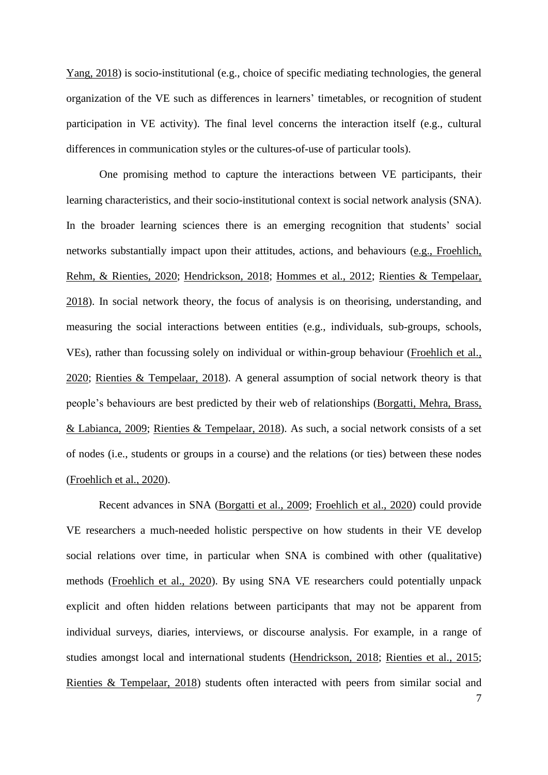[Yang, 2018\)](#page-24-1) is socio-institutional (e.g., choice of specific mediating technologies, the general organization of the VE such as differences in learners' timetables, or recognition of student participation in VE activity). The final level concerns the interaction itself (e.g., cultural differences in communication styles or the cultures-of-use of particular tools).

One promising method to capture the interactions between VE participants, their learning characteristics, and their socio-institutional context is social network analysis (SNA). In the broader learning sciences there is an emerging recognition that students' social networks substantially impact upon their attitudes, actions, and behaviours [\(e.g., Froehlich,](#page-23-9)  [Rehm, & Rienties, 2020;](#page-23-9) [Hendrickson, 2018;](#page-24-6) [Hommes et al., 2012;](#page-24-11) [Rienties & Tempelaar,](#page-24-12)  [2018\)](#page-24-12). In social network theory, the focus of analysis is on theorising, understanding, and measuring the social interactions between entities (e.g., individuals, sub-groups, schools, VEs), rather than focussing solely on individual or within-group behaviour [\(Froehlich et](#page-23-9) al., [2020;](#page-23-9) [Rienties & Tempelaar, 2018\)](#page-24-12). A general assumption of social network theory is that people's behaviours are best predicted by their web of relationships [\(Borgatti, Mehra,](#page-23-10) Brass, [& Labianca, 2009;](#page-23-10) [Rienties & Tempelaar, 2018\)](#page-24-12). As such, a social network consists of a set of nodes (i.e., students or groups in a course) and the relations (or ties) between these nodes [\(Froehlich et al., 2020\)](#page-23-9).

Recent advances in SNA [\(Borgatti et al., 2009;](#page-23-10) [Froehlich et al., 2020\)](#page-23-9) could provide VE researchers a much-needed holistic perspective on how students in their VE develop social relations over time, in particular when SNA is combined with other (qualitative) methods [\(Froehlich et al., 2020\)](#page-23-9). By using SNA VE researchers could potentially unpack explicit and often hidden relations between participants that may not be apparent from individual surveys, diaries, interviews, or discourse analysis. For example, in a range of studies amongst local and international students [\(Hendrickson, 2018;](#page-24-6) [Rienties et al., 2015;](#page-24-5) [Rienties & Tempelaar, 2018\)](#page-24-12) students often interacted with peers from similar social and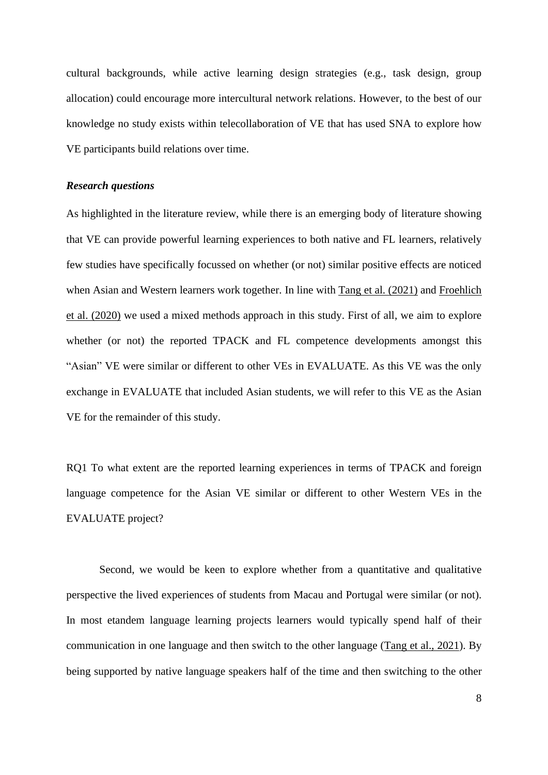cultural backgrounds, while active learning design strategies (e.g., task design, group allocation) could encourage more intercultural network relations. However, to the best of our knowledge no study exists within telecollaboration of VE that has used SNA to explore how VE participants build relations over time.

#### *Research questions*

As highlighted in the literature review, while there is an emerging body of literature showing that VE can provide powerful learning experiences to both native and FL learners, relatively few studies have specifically focussed on whether (or not) similar positive effects are noticed when Asian and Western learners work together. In line with Tang et al. [\(2021\)](#page-25-0) and [Froehlich](#page-23-9)  et al. (2020) we used a mixed methods approach in this study. First of all, we aim to explore whether (or not) the reported TPACK and FL competence developments amongst this "Asian" VE were similar or different to other VEs in EVALUATE. As this VE was the only exchange in EVALUATE that included Asian students, we will refer to this VE as the Asian VE for the remainder of this study.

RQ1 To what extent are the reported learning experiences in terms of TPACK and foreign language competence for the Asian VE similar or different to other Western VEs in the EVALUATE project?

Second, we would be keen to explore whether from a quantitative and qualitative perspective the lived experiences of students from Macau and Portugal were similar (or not). In most etandem language learning projects learners would typically spend half of their communication in one language and then switch to the other language [\(Tang et al., 2021\)](#page-25-0). By being supported by native language speakers half of the time and then switching to the other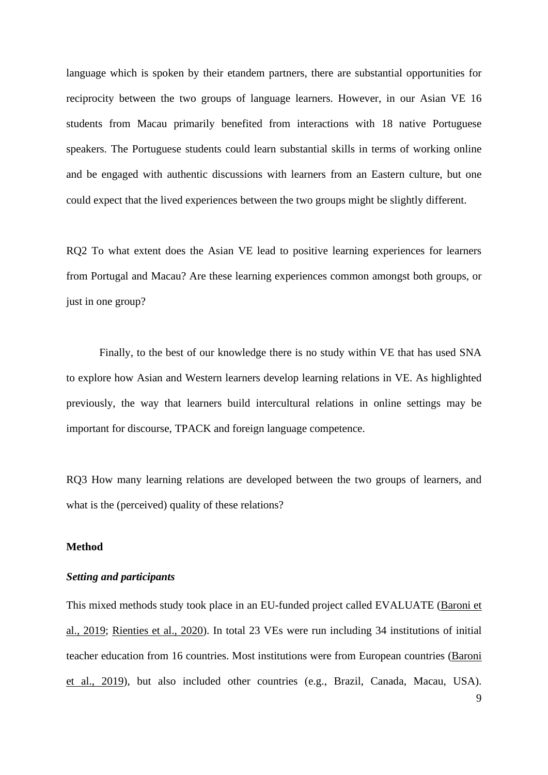language which is spoken by their etandem partners, there are substantial opportunities for reciprocity between the two groups of language learners. However, in our Asian VE 16 students from Macau primarily benefited from interactions with 18 native Portuguese speakers. The Portuguese students could learn substantial skills in terms of working online and be engaged with authentic discussions with learners from an Eastern culture, but one could expect that the lived experiences between the two groups might be slightly different.

RQ2 To what extent does the Asian VE lead to positive learning experiences for learners from Portugal and Macau? Are these learning experiences common amongst both groups, or just in one group?

Finally, to the best of our knowledge there is no study within VE that has used SNA to explore how Asian and Western learners develop learning relations in VE. As highlighted previously, the way that learners build intercultural relations in online settings may be important for discourse, TPACK and foreign language competence.

RQ3 How many learning relations are developed between the two groups of learners, and what is the (perceived) quality of these relations?

#### **Method**

#### *Setting and participants*

This mixed methods study took place in an EU-funded project called EVALUATE [\(Baroni et](#page-23-1)  [al., 2019;](#page-23-1) Rienties [et al., 2020\)](#page-24-3). In total 23 VEs were run including 34 institutions of initial teacher education from 16 countries. Most institutions were from European countries [\(Baroni](#page-23-1)  [et al., 2019\)](#page-23-1), but also included other countries (e.g., Brazil, Canada, Macau, USA).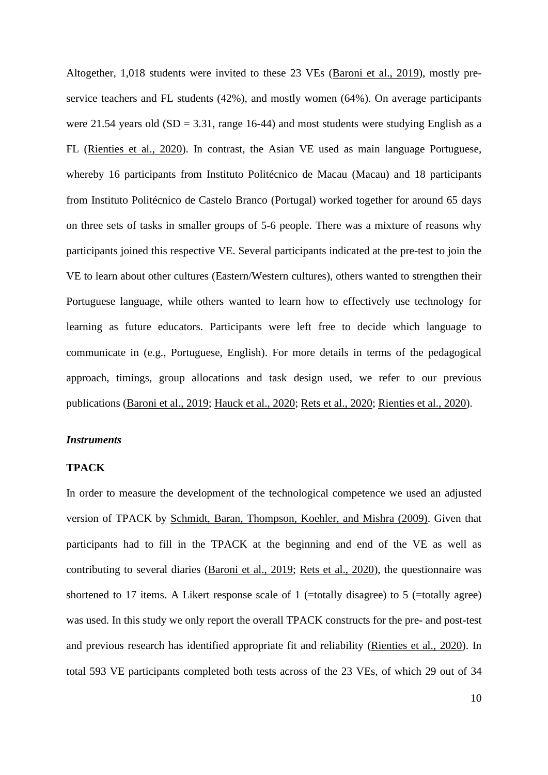Altogether, 1,018 students were invited to these 23 VEs (Baroni [et al., 2019\)](#page-23-1), mostly preservice teachers and FL students (42%), and mostly women (64%). On average participants were 21.54 years old  $(SD = 3.31$ , range 16-44) and most students were studying English as a FL [\(Rienties et al., 2020\)](#page-24-3). In contrast, the Asian VE used as main language Portuguese, whereby 16 participants from Instituto Politécnico de Macau (Macau) and 18 participants from Instituto Politécnico de Castelo Branco (Portugal) worked together for around 65 days on three sets of tasks in smaller groups of 5-6 people. There was a mixture of reasons why participants joined this respective VE. Several participants indicated at the pre-test to join the VE to learn about other cultures (Eastern/Western cultures), others wanted to strengthen their Portuguese language, while others wanted to learn how to effectively use technology for learning as future educators. Participants were left free to decide which language to communicate in (e.g., Portuguese, English). For more details in terms of the pedagogical approach, timings, group allocations and task design used, we refer to our previous publications [\(Baroni et al., 2019;](#page-23-1) [Hauck et al.,](#page-24-7) 2020; [Rets et al., 2020;](#page-24-8) [Rienties et al., 2020\)](#page-24-3).

#### *Instruments*

#### **TPACK**

In order to measure the development of the technological competence we used an adjusted version of TPACK by [Schmidt, Baran, Thompson, Koehler, and Mishra \(2009\).](#page-25-4) Given that participants had to fill in the TPACK at the beginning and end of the VE as well as contributing to several diaries [\(Baroni et al., 2019;](#page-23-1) [Rets et al., 2020\)](#page-24-8), the questionnaire was shortened to 17 items. A Likert response scale of 1 (=totally disagree) to 5 (=totally agree) was used. In this study we only report the overall TPACK constructs for the pre- and post-test and previous research has identified appropriate fit and reliability [\(Rienties et al., 2020\)](#page-24-3). In total 593 VE participants completed both tests across of the 23 VEs, of which 29 out of 34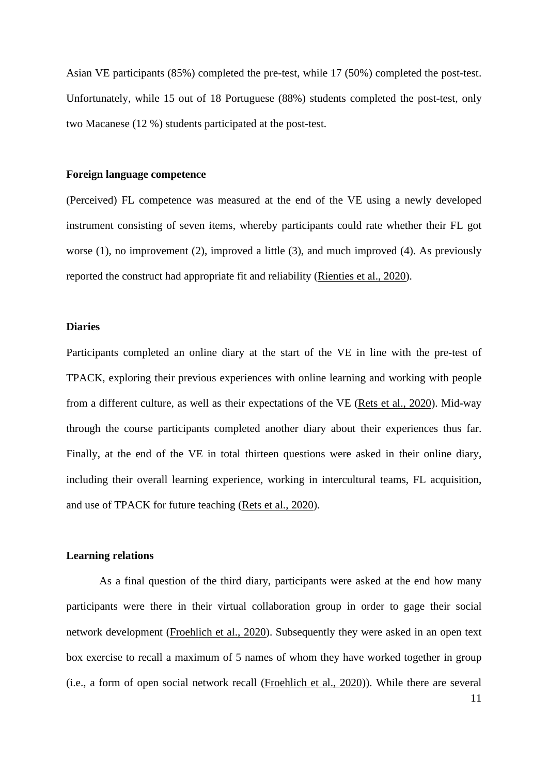Asian VE participants (85%) completed the pre-test, while 17 (50%) completed the post-test. Unfortunately, while 15 out of 18 Portuguese (88%) students completed the post-test, only two Macanese (12 %) students participated at the post-test.

#### **Foreign language competence**

(Perceived) FL competence was measured at the end of the VE using a newly developed instrument consisting of seven items, whereby participants could rate whether their FL got worse (1), no improvement (2), improved a little (3), and much improved (4). As previously reported the construct had appropriate fit and reliability [\(Rienties et al., 2020\)](#page-24-3).

#### **Diaries**

Participants completed an online diary at the start of the VE in line with the pre-test of TPACK, exploring their previous experiences with online learning and working with people from a different culture, as well as their expectations of the VE [\(Rets et al., 2020\)](#page-24-8). Mid-way through the course participants completed another diary about their experiences thus far. Finally, at the end of the VE in total thirteen questions were asked in their online diary, including their overall learning experience, working in intercultural teams, FL acquisition, and use of TPACK for future teaching [\(Rets et al., 2020\)](#page-24-8).

#### **Learning relations**

11 As a final question of the third diary, participants were asked at the end how many participants were there in their virtual collaboration group in order to gage their social network development [\(Froehlich et al., 2020\)](#page-23-9). Subsequently they were asked in an open text box exercise to recall a maximum of 5 names of whom they have worked together in group (i.e., a form of open social network recall [\(Froehlich et al., 2020\)](#page-23-9)). While there are several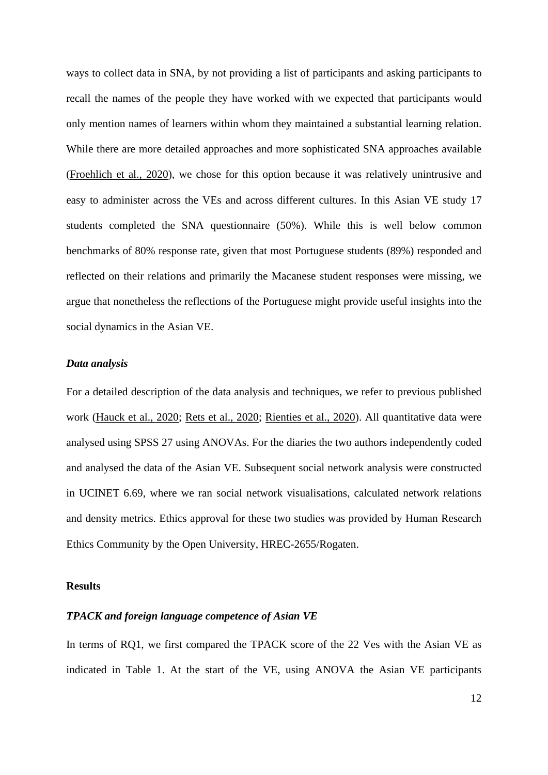ways to collect data in SNA, by not providing a list of participants and asking participants to recall the names of the people they have worked with we expected that participants would only mention names of learners within whom they maintained a substantial learning relation. While there are more detailed approaches and more sophisticated SNA approaches available [\(Froehlich et al., 2020\)](#page-23-9), we chose for this option because it was relatively unintrusive and easy to administer across the VEs and across different cultures. In this Asian VE study 17 students completed the SNA questionnaire (50%). While this is well below common benchmarks of 80% response rate, given that most Portuguese students (89%) responded and reflected on their relations and primarily the Macanese student responses were missing, we argue that nonetheless the reflections of the Portuguese might provide useful insights into the social dynamics in the Asian VE.

#### *Data analysis*

For a detailed description of the data analysis and techniques, we refer to previous published work [\(Hauck et al., 2020;](#page-24-7) [Rets et al., 2020;](#page-24-8) [Rienties et al.,](#page-24-3) 2020). All quantitative data were analysed using SPSS 27 using ANOVAs. For the diaries the two authors independently coded and analysed the data of the Asian VE. Subsequent social network analysis were constructed in UCINET 6.69, where we ran social network visualisations, calculated network relations and density metrics. Ethics approval for these two studies was provided by Human Research Ethics Community by the Open University, HREC-2655/Rogaten.

#### **Results**

#### *TPACK and foreign language competence of Asian VE*

In terms of RQ1, we first compared the TPACK score of the 22 Ves with the Asian VE as indicated in Table 1. At the start of the VE, using ANOVA the Asian VE participants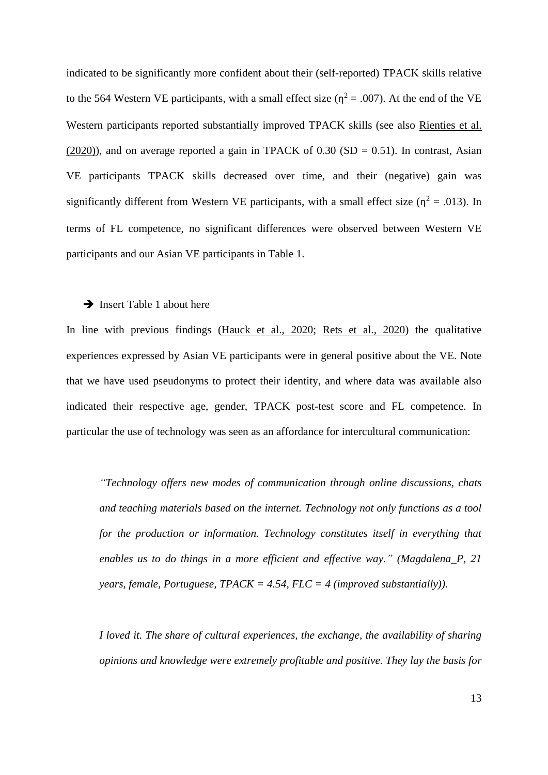indicated to be significantly more confident about their (self-reported) TPACK skills relative to the 564 Western VE participants, with a small effect size ( $\eta^2 = .007$ ). At the end of the VE Western participants reported substantially improved TPACK skills (see also [Rienties et al.](#page-24-3)  (2020)), and on average reported a gain in TPACK of  $0.30$  (SD = 0.51). In contrast, Asian VE participants TPACK skills decreased over time, and their (negative) gain was significantly different from Western VE participants, with a small effect size ( $\eta^2 = .013$ ). In terms of FL competence, no significant differences were observed between Western VE participants and our Asian VE participants in Table 1.

#### **→** Insert Table 1 about here

In line with previous findings [\(Hauck et al., 2020;](#page-24-7) [Rets et al., 2020\)](#page-24-8) the qualitative experiences expressed by Asian VE participants were in general positive about the VE. Note that we have used pseudonyms to protect their identity, and where data was available also indicated their respective age, gender, TPACK post-test score and FL competence. In particular the use of technology was seen as an affordance for intercultural communication:

*"Technology offers new modes of communication through online discussions, chats and teaching materials based on the internet. Technology not only functions as a tool for the production or information. Technology constitutes itself in everything that enables us to do things in a more efficient and effective way." (Magdalena\_P, 21 years, female, Portuguese, TPACK = 4.54, FLC = 4 (improved substantially)).*

*I loved it. The share of cultural experiences, the exchange, the availability of sharing opinions and knowledge were extremely profitable and positive. They lay the basis for*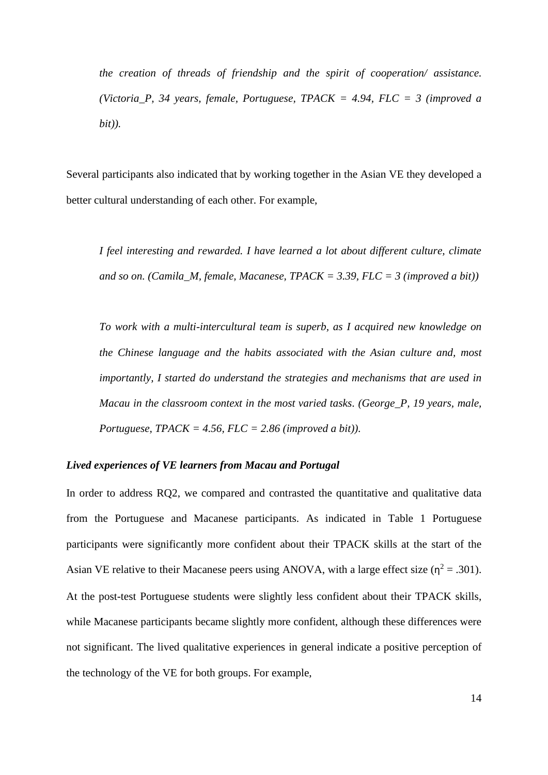*the creation of threads of friendship and the spirit of cooperation/ assistance. (Victoria\_P, 34 years, female, Portuguese, TPACK = 4.94, FLC = 3 (improved a bit)).*

Several participants also indicated that by working together in the Asian VE they developed a better cultural understanding of each other. For example,

*I feel interesting and rewarded. I have learned a lot about different culture, climate and so on. (Camila\_M, female, Macanese, TPACK = 3.39, FLC = 3 (improved a bit))*

*To work with a multi-intercultural team is superb, as I acquired new knowledge on the Chinese language and the habits associated with the Asian culture and, most importantly, I started do understand the strategies and mechanisms that are used in Macau in the classroom context in the most varied tasks. (George\_P, 19 years, male, Portuguese, TPACK = 4.56, FLC = 2.86 (improved a bit)).*

#### *Lived experiences of VE learners from Macau and Portugal*

In order to address RQ2, we compared and contrasted the quantitative and qualitative data from the Portuguese and Macanese participants. As indicated in Table 1 Portuguese participants were significantly more confident about their TPACK skills at the start of the Asian VE relative to their Macanese peers using ANOVA, with a large effect size ( $\eta^2$  = .301). At the post-test Portuguese students were slightly less confident about their TPACK skills, while Macanese participants became slightly more confident, although these differences were not significant. The lived qualitative experiences in general indicate a positive perception of the technology of the VE for both groups. For example,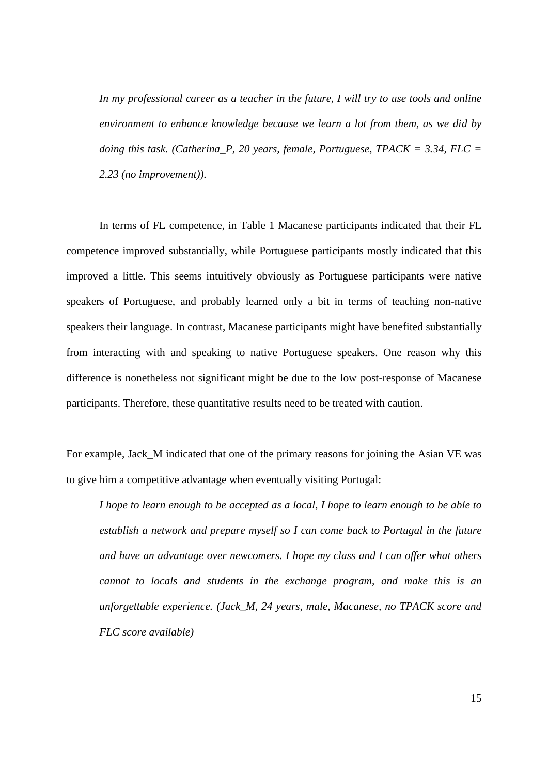*In my professional career as a teacher in the future, I will try to use tools and online environment to enhance knowledge because we learn a lot from them, as we did by doing this task. (Catherina\_P, 20 years, female, Portuguese, TPACK = 3.34, FLC = 2.23 (no improvement)).*

In terms of FL competence, in Table 1 Macanese participants indicated that their FL competence improved substantially, while Portuguese participants mostly indicated that this improved a little. This seems intuitively obviously as Portuguese participants were native speakers of Portuguese, and probably learned only a bit in terms of teaching non-native speakers their language. In contrast, Macanese participants might have benefited substantially from interacting with and speaking to native Portuguese speakers. One reason why this difference is nonetheless not significant might be due to the low post-response of Macanese participants. Therefore, these quantitative results need to be treated with caution.

For example, Jack\_M indicated that one of the primary reasons for joining the Asian VE was to give him a competitive advantage when eventually visiting Portugal:

*I hope to learn enough to be accepted as a local, I hope to learn enough to be able to establish a network and prepare myself so I can come back to Portugal in the future and have an advantage over newcomers. I hope my class and I can offer what others cannot to locals and students in the exchange program, and make this is an unforgettable experience. (Jack\_M, 24 years, male, Macanese, no TPACK score and FLC score available)*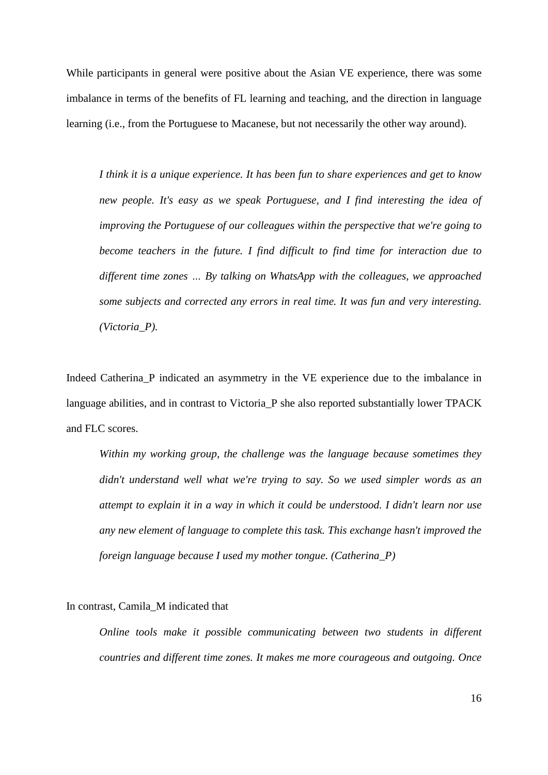While participants in general were positive about the Asian VE experience, there was some imbalance in terms of the benefits of FL learning and teaching, and the direction in language learning (i.e., from the Portuguese to Macanese, but not necessarily the other way around).

*I think it is a unique experience. It has been fun to share experiences and get to know new people. It's easy as we speak Portuguese, and I find interesting the idea of improving the Portuguese of our colleagues within the perspective that we're going to become teachers in the future. I find difficult to find time for interaction due to different time zones … By talking on WhatsApp with the colleagues, we approached some subjects and corrected any errors in real time. It was fun and very interesting. (Victoria\_P).*

Indeed Catherina\_P indicated an asymmetry in the VE experience due to the imbalance in language abilities, and in contrast to Victoria\_P she also reported substantially lower TPACK and FLC scores.

*Within my working group, the challenge was the language because sometimes they didn't understand well what we're trying to say. So we used simpler words as an attempt to explain it in a way in which it could be understood. I didn't learn nor use any new element of language to complete this task. This exchange hasn't improved the foreign language because I used my mother tongue. (Catherina\_P)*

In contrast, Camila\_M indicated that

*Online tools make it possible communicating between two students in different countries and different time zones. It makes me more courageous and outgoing. Once* 

16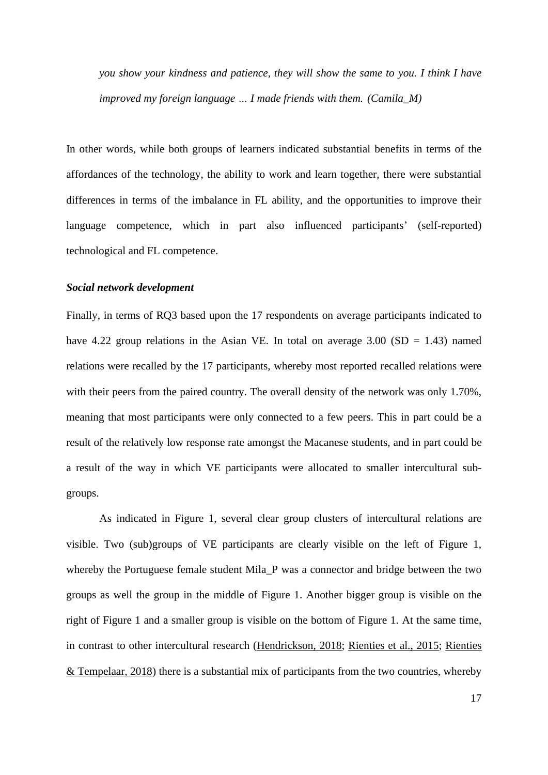*you show your kindness and patience, they will show the same to you. I think I have improved my foreign language … I made friends with them. (Camila\_M)*

In other words, while both groups of learners indicated substantial benefits in terms of the affordances of the technology, the ability to work and learn together, there were substantial differences in terms of the imbalance in FL ability, and the opportunities to improve their language competence, which in part also influenced participants' (self-reported) technological and FL competence.

#### *Social network development*

Finally, in terms of RQ3 based upon the 17 respondents on average participants indicated to have 4.22 group relations in the Asian VE. In total on average  $3.00$  (SD = 1.43) named relations were recalled by the 17 participants, whereby most reported recalled relations were with their peers from the paired country. The overall density of the network was only 1.70%, meaning that most participants were only connected to a few peers. This in part could be a result of the relatively low response rate amongst the Macanese students, and in part could be a result of the way in which VE participants were allocated to smaller intercultural subgroups.

As indicated in Figure 1, several clear group clusters of intercultural relations are visible. Two (sub)groups of VE participants are clearly visible on the left of Figure 1, whereby the Portuguese female student Mila<sub>.</sub> P was a connector and bridge between the two groups as well the group in the middle of Figure 1. Another bigger group is visible on the right of Figure 1 and a smaller group is visible on the bottom of Figure 1. At the same time, in contrast to other intercultural research [\(Hendrickson, 2018;](#page-24-6) [Rienties et al., 2015;](#page-24-5) [Rienties](#page-24-12)  [& Tempelaar, 2018\)](#page-24-12) there is a substantial mix of participants from the two countries, whereby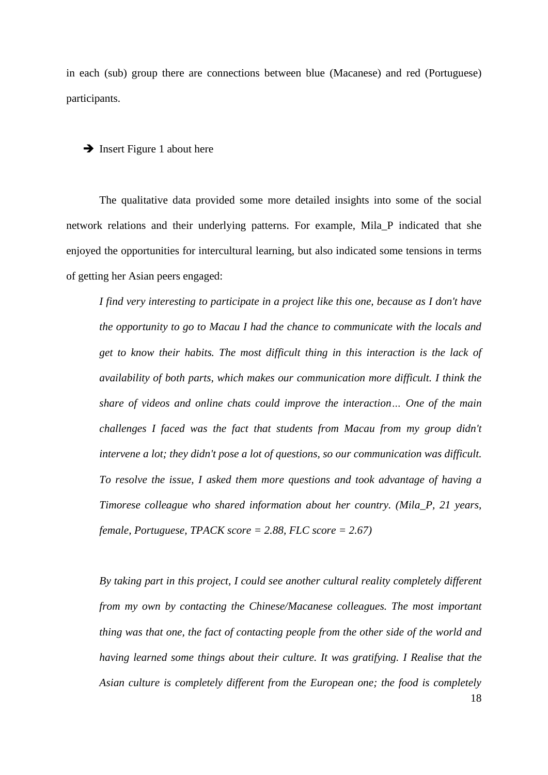in each (sub) group there are connections between blue (Macanese) and red (Portuguese) participants.

#### **→** Insert Figure 1 about here

The qualitative data provided some more detailed insights into some of the social network relations and their underlying patterns. For example, Mila\_P indicated that she enjoyed the opportunities for intercultural learning, but also indicated some tensions in terms of getting her Asian peers engaged:

*I find very interesting to participate in a project like this one, because as I don't have the opportunity to go to Macau I had the chance to communicate with the locals and get to know their habits. The most difficult thing in this interaction is the lack of availability of both parts, which makes our communication more difficult. I think the share of videos and online chats could improve the interaction… One of the main challenges I faced was the fact that students from Macau from my group didn't intervene a lot; they didn't pose a lot of questions, so our communication was difficult. To resolve the issue, I asked them more questions and took advantage of having a Timorese colleague who shared information about her country. (Mila\_P, 21 years, female, Portuguese, TPACK score = 2.88, FLC score = 2.67)*

18 *By taking part in this project, I could see another cultural reality completely different from my own by contacting the Chinese/Macanese colleagues. The most important thing was that one, the fact of contacting people from the other side of the world and having learned some things about their culture. It was gratifying. I Realise that the Asian culture is completely different from the European one; the food is completely*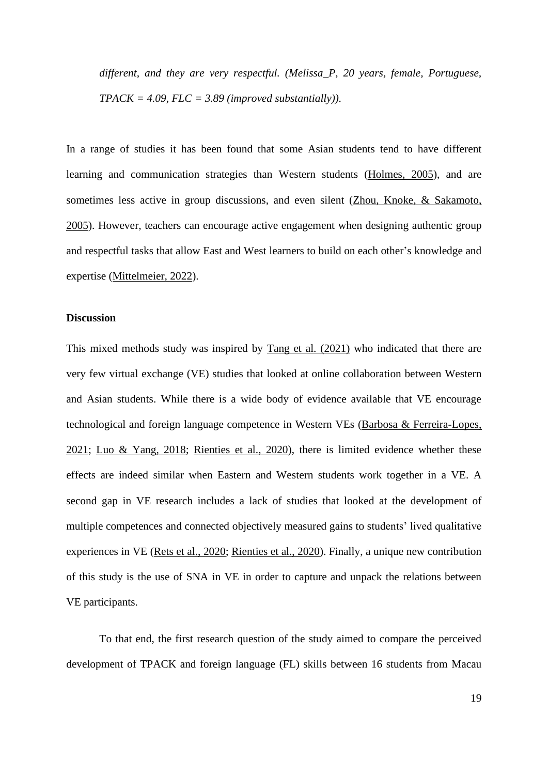*different, and they are very respectful. (Melissa\_P, 20 years, female, Portuguese,*   $TPACK = 4.09$ ,  $FLC = 3.89$  (improved substantially)).

In a range of studies it has been found that some Asian students tend to have different learning and communication strategies than Western students [\(Holmes, 2005\)](#page-24-13), and are sometimes less active in group discussions, and even silent [\(Zhou, Knoke, & Sakamoto,](#page-25-5)  [2005\)](#page-25-5). However, teachers can encourage active engagement when designing authentic group and respectful tasks that allow East and West learners to build on each other's knowledge and expertise [\(Mittelmeier, 2022\)](#page-24-14).

#### **Discussion**

This mixed methods study was inspired by [Tang et al. \(2021\)](#page-25-0) who indicated that there are very few virtual exchange (VE) studies that looked at online collaboration between Western and Asian students. While there is a wide body of evidence available that VE encourage technological and foreign language competence in Western VEs [\(Barbosa & Ferreira-Lopes,](#page-23-0)  [2021;](#page-23-0) [Luo & Yang, 2018;](#page-24-1) [Rienties et al., 2020\)](#page-24-3), there is limited evidence whether these effects are indeed similar when Eastern and Western students work together in a VE. A second gap in VE research includes a lack of studies that looked at the development of multiple competences and connected objectively measured gains to students' lived qualitative experiences in VE [\(Rets et al., 2020;](#page-24-8) [Rienties et al., 2020\)](#page-24-3). Finally, a unique new contribution of this study is the use of SNA in VE in order to capture and unpack the relations between VE participants.

To that end, the first research question of the study aimed to compare the perceived development of TPACK and foreign language (FL) skills between 16 students from Macau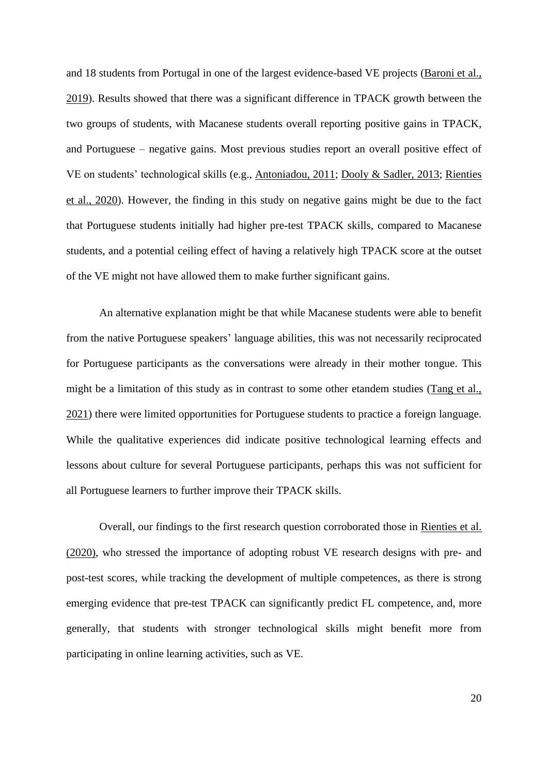and 18 students from Portugal in one of the largest evidence-based VE projects [\(Baroni et al.,](#page-23-1)  [2019\)](#page-23-1). Results showed that there was a significant difference in TPACK growth between the two groups of students, with Macanese students overall reporting positive gains in TPACK, and Portuguese – negative gains. Most previous studies report an overall positive effect of VE on students' technological skills (e.g., [Antoniadou, 2011;](#page-23-5) [Dooly & Sadler, 2013;](#page-23-2) [Rienties](#page-24-3)  [et al., 2020\)](#page-24-3). However, the finding in this study on negative gains might be due to the fact that Portuguese students initially had higher pre-test TPACK skills, compared to Macanese students, and a potential ceiling effect of having a relatively high TPACK score at the outset of the VE might not have allowed them to make further significant gains.

An alternative explanation might be that while Macanese students were able to benefit from the native Portuguese speakers' language abilities, this was not necessarily reciprocated for Portuguese participants as the conversations were already in their mother tongue. This might be a limitation of this study as in contrast to some other etandem studies [\(Tang et al.,](#page-25-0)  [2021\)](#page-25-0) there were limited opportunities for Portuguese students to practice a foreign language. While the qualitative experiences did indicate positive technological learning effects and lessons about culture for several Portuguese participants, perhaps this was not sufficient for all Portuguese learners to further improve their TPACK skills.

Overall, our findings to the first research question corroborated those in [Rienties et al.](#page-24-3)  (2020), who stressed the importance of adopting robust VE research designs with pre- and post-test scores, while tracking the development of multiple competences, as there is strong emerging evidence that pre-test TPACK can significantly predict FL competence, and, more generally, that students with stronger technological skills might benefit more from participating in online learning activities, such as VE.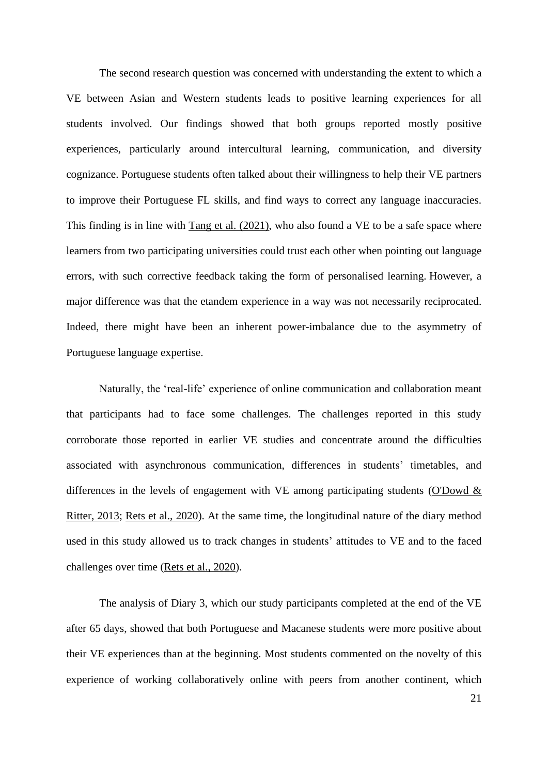The second research question was concerned with understanding the extent to which a VE between Asian and Western students leads to positive learning experiences for all students involved. Our findings showed that both groups reported mostly positive experiences, particularly around intercultural learning, communication, and diversity cognizance. Portuguese students often talked about their willingness to help their VE partners to improve their Portuguese FL skills, and find ways to correct any language inaccuracies. This finding is in line with [Tang et al. \(2021\),](#page-25-0) who also found a VE to be a safe space where learners from two participating universities could trust each other when pointing out language errors, with such corrective feedback taking the form of personalised learning. However, a major difference was that the etandem experience in a way was not necessarily reciprocated. Indeed, there might have been an inherent power-imbalance due to the asymmetry of Portuguese language expertise.

Naturally, the 'real-life' experience of online communication and collaboration meant that participants had to face some challenges. The challenges reported in this study corroborate those reported in earlier VE studies and concentrate around the difficulties associated with asynchronous communication, differences in students' timetables, and differences in the levels of engagement with VE among participating students [\(O'Dowd &](#page-24-10)  [Ritter, 2013;](#page-24-10) [Rets et al., 2020\)](#page-24-8). At the same time, the longitudinal nature of the diary method used in this study allowed us to track changes in students' attitudes to VE and to the faced challenges over time [\(Rets et al., 2020\)](#page-24-8).

The analysis of Diary 3, which our study participants completed at the end of the VE after 65 days, showed that both Portuguese and Macanese students were more positive about their VE experiences than at the beginning. Most students commented on the novelty of this experience of working collaboratively online with peers from another continent, which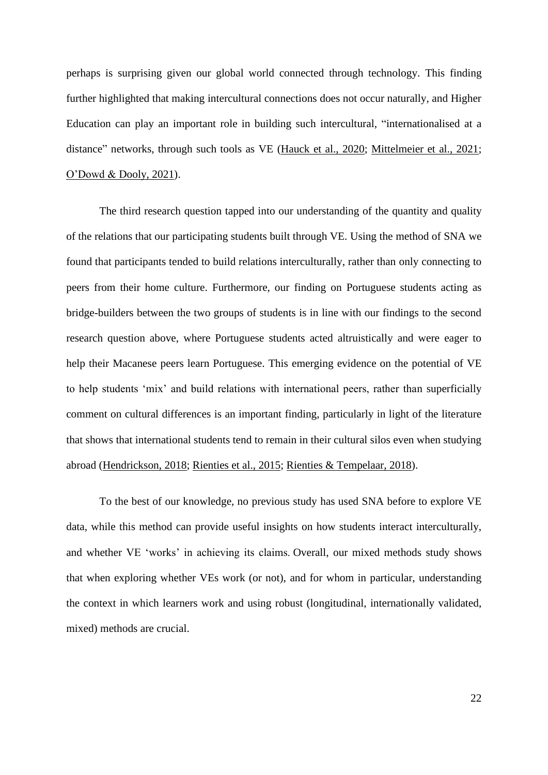perhaps is surprising given our global world connected through technology. This finding further highlighted that making intercultural connections does not occur naturally, and Higher Education can play an important role in building such intercultural, "internationalised at a distance" networks, through such tools as VE [\(Hauck et al., 2020;](#page-24-7) [Mittelmeier et al., 2021;](#page-24-4) [O'Dowd & Dooly, 2021\)](#page-24-0).

The third research question tapped into our understanding of the quantity and quality of the relations that our participating students built through VE. Using the method of SNA we found that participants tended to build relations interculturally, rather than only connecting to peers from their home culture. Furthermore, our finding on Portuguese students acting as bridge-builders between the two groups of students is in line with our findings to the second research question above, where Portuguese students acted altruistically and were eager to help their Macanese peers learn Portuguese. This emerging evidence on the potential of VE to help students 'mix' and build relations with international peers, rather than superficially comment on cultural differences is an important finding, particularly in light of the literature that shows that international students tend to remain in their cultural silos even when studying abroad [\(Hendrickson, 2018;](#page-24-6) [Rienties et al., 2015;](#page-24-5) [Rienties & Tempelaar, 2018\)](#page-24-12).

To the best of our knowledge, no previous study has used SNA before to explore VE data, while this method can provide useful insights on how students interact interculturally, and whether VE 'works' in achieving its claims. Overall, our mixed methods study shows that when exploring whether VEs work (or not), and for whom in particular, understanding the context in which learners work and using robust (longitudinal, internationally validated, mixed) methods are crucial.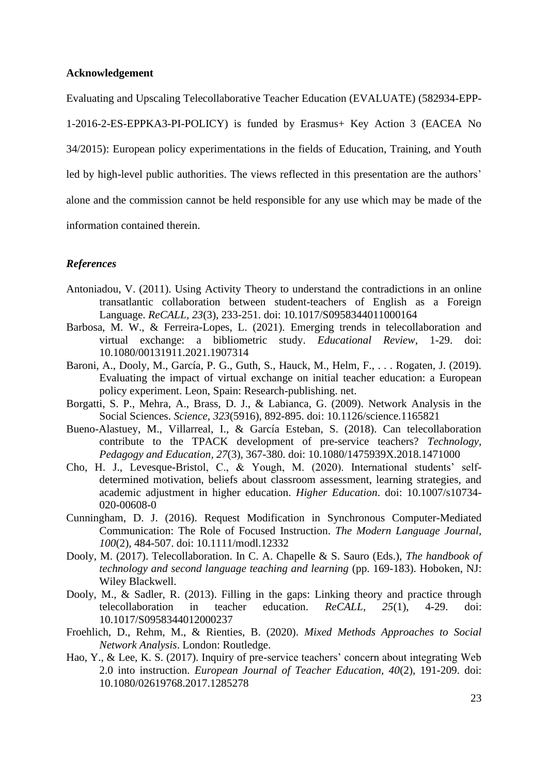#### **Acknowledgement**

Evaluating and Upscaling Telecollaborative Teacher Education (EVALUATE) (582934-EPP-

1-2016-2-ES-EPPKA3-PI-POLICY) is funded by Erasmus+ Key Action 3 (EACEA No 34/2015): European policy experimentations in the fields of Education, Training, and Youth led by high-level public authorities. The views reflected in this presentation are the authors' alone and the commission cannot be held responsible for any use which may be made of the information contained therein.

#### *References*

- <span id="page-23-5"></span>Antoniadou, V. (2011). Using Activity Theory to understand the contradictions in an online transatlantic collaboration between student-teachers of English as a Foreign Language. *ReCALL, 23*(3), 233-251. doi: 10.1017/S0958344011000164
- <span id="page-23-0"></span>Barbosa, M. W., & Ferreira-Lopes, L. (2021). Emerging trends in telecollaboration and virtual exchange: a bibliometric study. *Educational Review*, 1-29. doi: 10.1080/00131911.2021.1907314
- <span id="page-23-1"></span>Baroni, A., Dooly, M., García, P. G., Guth, S., Hauck, M., Helm, F., . . . Rogaten, J. (2019). Evaluating the impact of virtual exchange on initial teacher education: a European policy experiment. Leon, Spain: Research-publishing. net.
- <span id="page-23-10"></span>Borgatti, S. P., Mehra, A., Brass, D. J., & Labianca, G. (2009). Network Analysis in the Social Sciences. *Science, 323*(5916), 892-895. doi: 10.1126/science.1165821
- <span id="page-23-4"></span>Bueno-Alastuey, M., Villarreal, I., & García Esteban, S. (2018). Can telecollaboration contribute to the TPACK development of pre-service teachers? *Technology, Pedagogy and Education, 27*(3), 367-380. doi: 10.1080/1475939X.2018.1471000
- <span id="page-23-3"></span>Cho, H. J., Levesque-Bristol, C., & Yough, M. (2020). International students' selfdetermined motivation, beliefs about classroom assessment, learning strategies, and academic adjustment in higher education. *Higher Education*. doi: 10.1007/s10734- 020-00608-0
- <span id="page-23-7"></span>Cunningham, D. J. (2016). Request Modification in Synchronous Computer-Mediated Communication: The Role of Focused Instruction. *The Modern Language Journal, 100*(2), 484-507. doi: 10.1111/modl.12332
- <span id="page-23-8"></span>Dooly, M. (2017). Telecollaboration. In C. A. Chapelle & S. Sauro (Eds.), *The handbook of technology and second language teaching and learning* (pp. 169-183). Hoboken, NJ: Wiley Blackwell.
- <span id="page-23-2"></span>Dooly, M., & Sadler, R. (2013). Filling in the gaps: Linking theory and practice through telecollaboration in teacher education. *ReCALL, 25*(1), 4-29. doi: 10.1017/S0958344012000237
- <span id="page-23-9"></span>Froehlich, D., Rehm, M., & Rienties, B. (2020). *Mixed Methods Approaches to Social Network Analysis*. London: Routledge.
- <span id="page-23-6"></span>Hao, Y., & Lee, K. S. (2017). Inquiry of pre-service teachers' concern about integrating Web 2.0 into instruction. *European Journal of Teacher Education, 40*(2), 191-209. doi: 10.1080/02619768.2017.1285278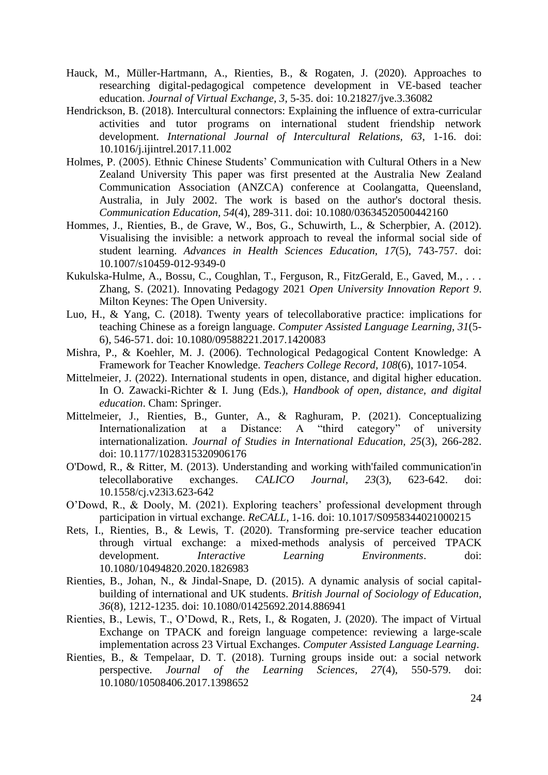- <span id="page-24-7"></span>Hauck, M., Müller-Hartmann, A., Rienties, B., & Rogaten, J. (2020). Approaches to researching digital-pedagogical competence development in VE-based teacher education. *Journal of Virtual Exchange, 3*, 5-35. doi: 10.21827/jve.3.36082
- <span id="page-24-6"></span>Hendrickson, B. (2018). Intercultural connectors: Explaining the influence of extra-curricular activities and tutor programs on international student friendship network development. *International Journal of Intercultural Relations, 63*, 1-16. doi: 10.1016/j.ijintrel.2017.11.002
- <span id="page-24-13"></span>Holmes, P. (2005). Ethnic Chinese Students' Communication with Cultural Others in a New Zealand University This paper was first presented at the Australia New Zealand Communication Association (ANZCA) conference at Coolangatta, Queensland, Australia, in July 2002. The work is based on the author's doctoral thesis. *Communication Education, 54*(4), 289-311. doi: 10.1080/03634520500442160
- <span id="page-24-11"></span>Hommes, J., Rienties, B., de Grave, W., Bos, G., Schuwirth, L., & Scherpbier, A. (2012). Visualising the invisible: a network approach to reveal the informal social side of student learning. *Advances in Health Sciences Education, 17*(5), 743-757. doi: 10.1007/s10459-012-9349-0
- <span id="page-24-2"></span>Kukulska-Hulme, A., Bossu, C., Coughlan, T., Ferguson, R., FitzGerald, E., Gaved, M., . . . Zhang, S. (2021). Innovating Pedagogy 2021 *Open University Innovation Report 9*. Milton Keynes: The Open University.
- <span id="page-24-1"></span>Luo, H., & Yang, C. (2018). Twenty years of telecollaborative practice: implications for teaching Chinese as a foreign language. *Computer Assisted Language Learning, 31*(5- 6), 546-571. doi: 10.1080/09588221.2017.1420083
- <span id="page-24-9"></span>Mishra, P., & Koehler, M. J. (2006). Technological Pedagogical Content Knowledge: A Framework for Teacher Knowledge. *Teachers College Record, 108*(6), 1017-1054.
- <span id="page-24-14"></span>Mittelmeier, J. (2022). International students in open, distance, and digital higher education. In O. Zawacki-Richter & I. Jung (Eds.), *Handbook of open, distance, and digital education*. Cham: Springer.
- <span id="page-24-4"></span>Mittelmeier, J., Rienties, B., Gunter, A., & Raghuram, P. (2021). Conceptualizing<br>Internationalization at a Distance: A "third category" of university Internationalization at a Distance: A internationalization. *Journal of Studies in International Education, 25*(3), 266-282. doi: 10.1177/1028315320906176
- <span id="page-24-10"></span>O'Dowd, R., & Ritter, M. (2013). Understanding and working with'failed communication'in telecollaborative exchanges. *CALICO Journal, 23*(3), 623-642. doi: 10.1558/cj.v23i3.623-642
- <span id="page-24-0"></span>O'Dowd, R., & Dooly, M. (2021). Exploring teachers' professional development through participation in virtual exchange. *ReCALL*, 1-16. doi: 10.1017/S0958344021000215
- <span id="page-24-8"></span>Rets, I., Rienties, B., & Lewis, T. (2020). Transforming pre-service teacher education through virtual exchange: a mixed-methods analysis of perceived TPACK development. *Interactive Learning Environments*. doi: 10.1080/10494820.2020.1826983
- <span id="page-24-5"></span>Rienties, B., Johan, N., & Jindal-Snape, D. (2015). A dynamic analysis of social capitalbuilding of international and UK students. *British Journal of Sociology of Education, 36*(8), 1212-1235. doi: 10.1080/01425692.2014.886941
- <span id="page-24-3"></span>Rienties, B., Lewis, T., O'Dowd, R., Rets, I., & Rogaten, J. (2020). The impact of Virtual Exchange on TPACK and foreign language competence: reviewing a large-scale implementation across 23 Virtual Exchanges. *Computer Assisted Language Learning*.
- <span id="page-24-12"></span>Rienties, B., & Tempelaar, D. T. (2018). Turning groups inside out: a social network perspective. *Journal of the Learning Sciences, 27*(4), 550-579. doi: 10.1080/10508406.2017.1398652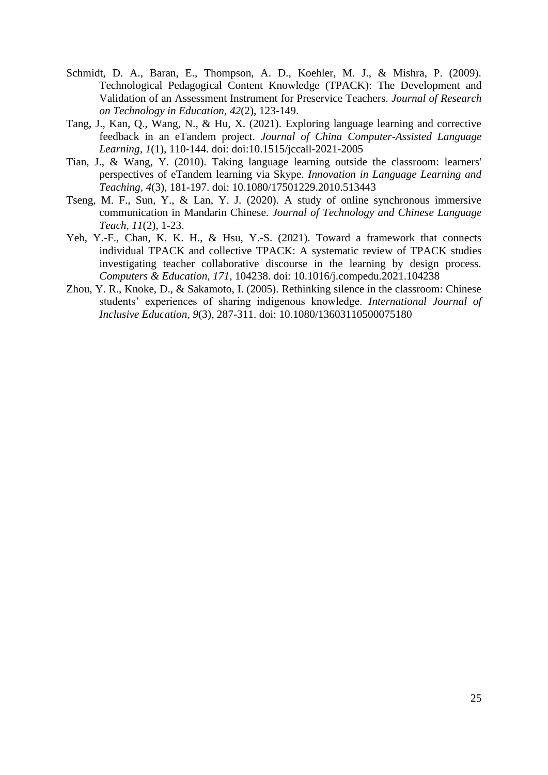- <span id="page-25-4"></span>Schmidt, D. A., Baran, E., Thompson, A. D., Koehler, M. J., & Mishra, P. (2009). Technological Pedagogical Content Knowledge (TPACK): The Development and Validation of an Assessment Instrument for Preservice Teachers. *Journal of Research on Technology in Education, 42*(2), 123-149.
- <span id="page-25-0"></span>Tang, J., Kan, Q., Wang, N., & Hu, X. (2021). Exploring language learning and corrective feedback in an eTandem project. *Journal of China Computer-Assisted Language Learning, 1*(1), 110-144. doi: doi:10.1515/jccall-2021-2005
- <span id="page-25-2"></span>Tian, J., & Wang, Y. (2010). Taking language learning outside the classroom: learners' perspectives of eTandem learning via Skype. *Innovation in Language Learning and Teaching, 4*(3), 181-197. doi: 10.1080/17501229.2010.513443
- <span id="page-25-1"></span>Tseng, M. F., Sun, Y., & Lan, Y. J. (2020). A study of online synchronous immersive communication in Mandarin Chinese. *Journal of Technology and Chinese Language Teach, 11*(2), 1-23.
- <span id="page-25-3"></span>Yeh, Y.-F., Chan, K. K. H., & Hsu, Y.-S. (2021). Toward a framework that connects individual TPACK and collective TPACK: A systematic review of TPACK studies investigating teacher collaborative discourse in the learning by design process. *Computers & Education, 171*, 104238. doi: 10.1016/j.compedu.2021.104238
- <span id="page-25-5"></span>Zhou, Y. R., Knoke, D., & Sakamoto, I. (2005). Rethinking silence in the classroom: Chinese students' experiences of sharing indigenous knowledge. *International Journal of Inclusive Education, 9*(3), 287-311. doi: 10.1080/13603110500075180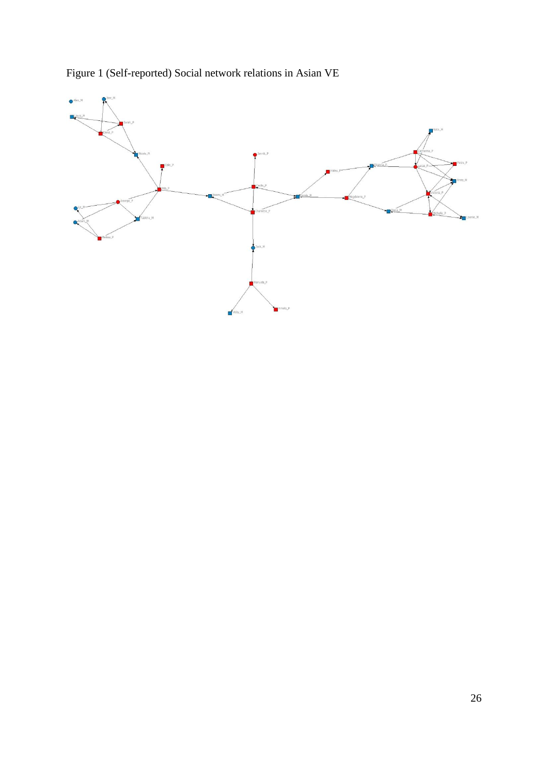

Figure 1 (Self-reported) Social network relations in Asian VE